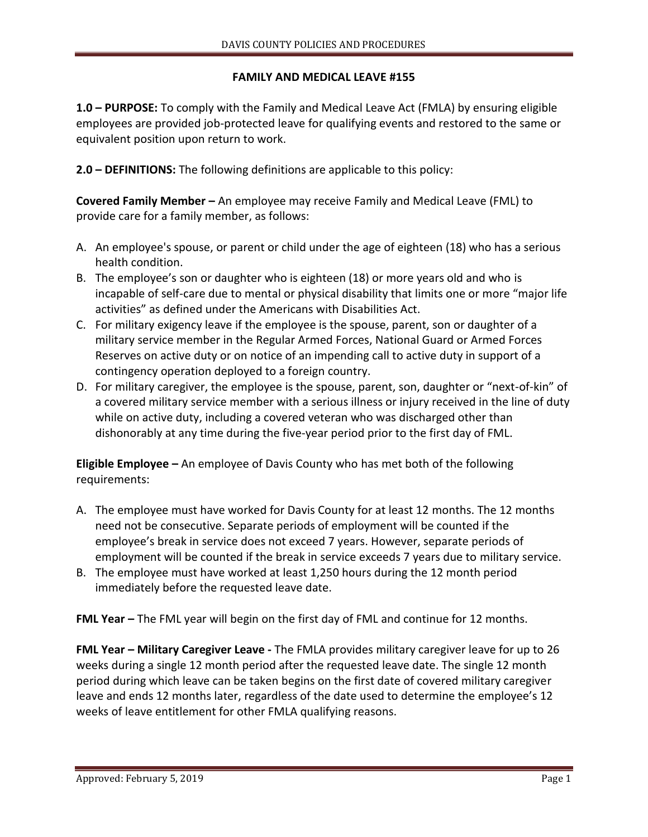## **FAMILY AND MEDICAL LEAVE #155**

**1.0 – PURPOSE:** To comply with the Family and Medical Leave Act (FMLA) by ensuring eligible employees are provided job-protected leave for qualifying events and restored to the same or equivalent position upon return to work.

**2.0 – DEFINITIONS:** The following definitions are applicable to this policy:

**Covered Family Member –** An employee may receive Family and Medical Leave (FML) to provide care for a family member, as follows:

- A. An employee's spouse, or parent or child under the age of eighteen (18) who has a serious health condition.
- B. The employee's son or daughter who is eighteen (18) or more years old and who is incapable of self-care due to mental or physical disability that limits one or more "major life activities" as defined under the Americans with Disabilities Act.
- C. For military exigency leave if the employee is the spouse, parent, son or daughter of a military service member in the Regular Armed Forces, National Guard or Armed Forces Reserves on active duty or on notice of an impending call to active duty in support of a contingency operation deployed to a foreign country.
- D. For military caregiver, the employee is the spouse, parent, son, daughter or "next-of-kin" of a covered military service member with a serious illness or injury received in the line of duty while on active duty, including a covered veteran who was discharged other than dishonorably at any time during the five-year period prior to the first day of FML.

**Eligible Employee –** An employee of Davis County who has met both of the following requirements:

- A. The employee must have worked for Davis County for at least 12 months. The 12 months need not be consecutive. Separate periods of employment will be counted if the employee's break in service does not exceed 7 years. However, separate periods of employment will be counted if the break in service exceeds 7 years due to military service.
- B. The employee must have worked at least 1,250 hours during the 12 month period immediately before the requested leave date.

**FML Year –** The FML year will begin on the first day of FML and continue for 12 months.

**FML Year – Military Caregiver Leave -** The FMLA provides military caregiver leave for up to 26 weeks during a single 12 month period after the requested leave date. The single 12 month period during which leave can be taken begins on the first date of covered military caregiver leave and ends 12 months later, regardless of the date used to determine the employee's 12 weeks of leave entitlement for other FMLA qualifying reasons.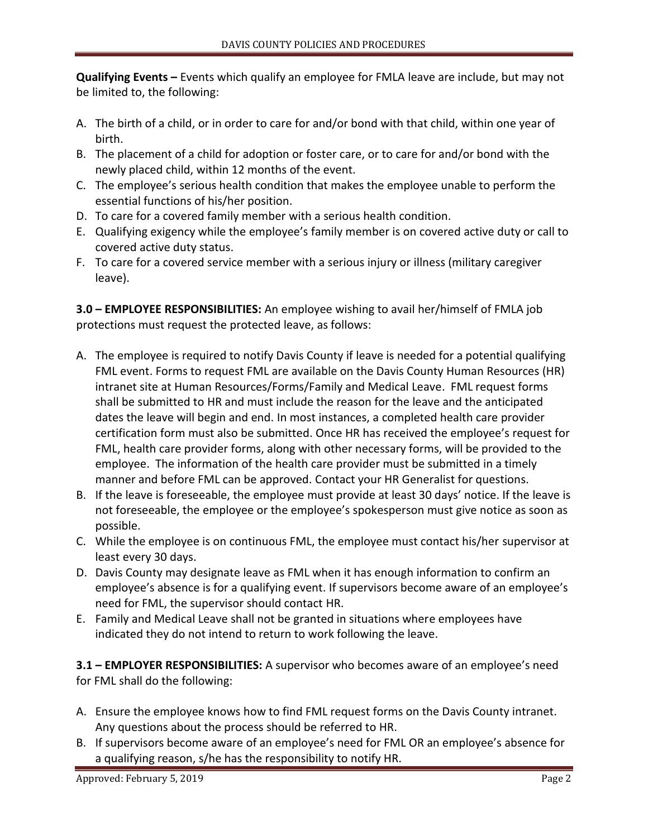**Qualifying Events –** Events which qualify an employee for FMLA leave are include, but may not be limited to, the following:

- A. The birth of a child, or in order to care for and/or bond with that child, within one year of birth.
- B. The placement of a child for adoption or foster care, or to care for and/or bond with the newly placed child, within 12 months of the event.
- C. The employee's serious health condition that makes the employee unable to perform the essential functions of his/her position.
- D. To care for a covered family member with a serious health condition.
- E. Qualifying exigency while the employee's family member is on covered active duty or call to covered active duty status.
- F. To care for a covered service member with a serious injury or illness (military caregiver leave).

**3.0 – EMPLOYEE RESPONSIBILITIES:** An employee wishing to avail her/himself of FMLA job protections must request the protected leave, as follows:

- A. The employee is required to notify Davis County if leave is needed for a potential qualifying FML event. Forms to request FML are available on the Davis County Human Resources (HR) intranet site at Human Resources/Forms/Family and Medical Leave. FML request forms shall be submitted to HR and must include the reason for the leave and the anticipated dates the leave will begin and end. In most instances, a completed health care provider certification form must also be submitted. Once HR has received the employee's request for FML, health care provider forms, along with other necessary forms, will be provided to the employee. The information of the health care provider must be submitted in a timely manner and before FML can be approved. Contact your HR Generalist for questions.
- B. If the leave is foreseeable, the employee must provide at least 30 days' notice. If the leave is not foreseeable, the employee or the employee's spokesperson must give notice as soon as possible.
- C. While the employee is on continuous FML, the employee must contact his/her supervisor at least every 30 days.
- D. Davis County may designate leave as FML when it has enough information to confirm an employee's absence is for a qualifying event. If supervisors become aware of an employee's need for FML, the supervisor should contact HR.
- E. Family and Medical Leave shall not be granted in situations where employees have indicated they do not intend to return to work following the leave.

**3.1 – EMPLOYER RESPONSIBILITIES:** A supervisor who becomes aware of an employee's need for FML shall do the following:

- A. Ensure the employee knows how to find FML request forms on the Davis County intranet. Any questions about the process should be referred to HR.
- B. If supervisors become aware of an employee's need for FML OR an employee's absence for a qualifying reason, s/he has the responsibility to notify HR.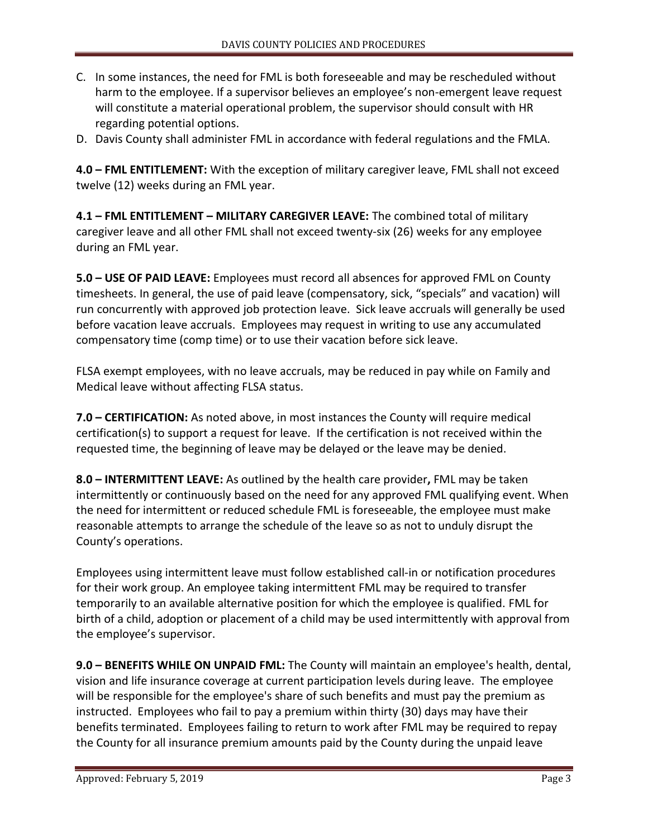- C. In some instances, the need for FML is both foreseeable and may be rescheduled without harm to the employee. If a supervisor believes an employee's non-emergent leave request will constitute a material operational problem, the supervisor should consult with HR regarding potential options.
- D. Davis County shall administer FML in accordance with federal regulations and the FMLA.

**4.0 – FML ENTITLEMENT:** With the exception of military caregiver leave, FML shall not exceed twelve (12) weeks during an FML year.

**4.1 – FML ENTITLEMENT – MILITARY CAREGIVER LEAVE:** The combined total of military caregiver leave and all other FML shall not exceed twenty-six (26) weeks for any employee during an FML year.

**5.0 – USE OF PAID LEAVE:** Employees must record all absences for approved FML on County timesheets. In general, the use of paid leave (compensatory, sick, "specials" and vacation) will run concurrently with approved job protection leave. Sick leave accruals will generally be used before vacation leave accruals. Employees may request in writing to use any accumulated compensatory time (comp time) or to use their vacation before sick leave.

FLSA exempt employees, with no leave accruals, may be reduced in pay while on Family and Medical leave without affecting FLSA status.

**7.0 – CERTIFICATION:** As noted above, in most instances the County will require medical certification(s) to support a request for leave. If the certification is not received within the requested time, the beginning of leave may be delayed or the leave may be denied.

**8.0 – INTERMITTENT LEAVE:** As outlined by the health care provider**,** FML may be taken intermittently or continuously based on the need for any approved FML qualifying event. When the need for intermittent or reduced schedule FML is foreseeable, the employee must make reasonable attempts to arrange the schedule of the leave so as not to unduly disrupt the County's operations.

Employees using intermittent leave must follow established call-in or notification procedures for their work group. An employee taking intermittent FML may be required to transfer temporarily to an available alternative position for which the employee is qualified. FML for birth of a child, adoption or placement of a child may be used intermittently with approval from the employee's supervisor.

**9.0 – BENEFITS WHILE ON UNPAID FML:** The County will maintain an employee's health, dental, vision and life insurance coverage at current participation levels during leave. The employee will be responsible for the employee's share of such benefits and must pay the premium as instructed. Employees who fail to pay a premium within thirty (30) days may have their benefits terminated. Employees failing to return to work after FML may be required to repay the County for all insurance premium amounts paid by the County during the unpaid leave